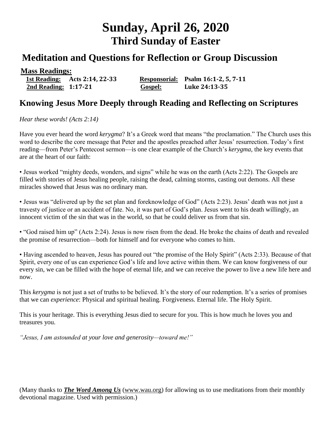# **Sunday, April 26, 2020 Third Sunday of Easter**

## **Meditation and Questions for Reflection or Group Discussion**

### **Mass Readings:**

 **1st Reading: Acts 2:14, 22-33 Responsorial: Psalm 16:1-2, 5, 7-11 2nd Reading: 1:17-21 Gospel: Luke 24:13-35**

### **Knowing Jesus More Deeply through Reading and Reflecting on Scriptures**

*Hear these words! (Acts 2:14)*

Have you ever heard the word *kerygma*? It's a Greek word that means "the proclamation." The Church uses this word to describe the core message that Peter and the apostles preached after Jesus' resurrection. Today's first reading—from Peter's Pentecost sermon—is one clear example of the Church's *kerygma*, the key events that are at the heart of our faith:

• Jesus worked "mighty deeds, wonders, and signs" while he was on the earth (Acts 2:22). The Gospels are filled with stories of Jesus healing people, raising the dead, calming storms, casting out demons. All these miracles showed that Jesus was no ordinary man.

• Jesus was "delivered up by the set plan and foreknowledge of God" (Acts 2:23). Jesus' death was not just a travesty of justice or an accident of fate. No, it was part of God's plan. Jesus went to his death willingly, an innocent victim of the sin that was in the world, so that he could deliver us from that sin.

• "God raised him up" (Acts 2:24). Jesus is now risen from the dead. He broke the chains of death and revealed the promise of resurrection—both for himself and for everyone who comes to him.

• Having ascended to heaven, Jesus has poured out "the promise of the Holy Spirit" (Acts 2:33). Because of that Spirit, every one of us can experience God's life and love active within them. We can know forgiveness of our every sin, we can be filled with the hope of eternal life, and we can receive the power to live a new life here and now.

This *kerygma* is not just a set of truths to be believed. It's the story of our redemption. It's a series of promises that we can *experience*: Physical and spiritual healing. Forgiveness. Eternal life. The Holy Spirit.

This is your heritage. This is everything Jesus died to secure for you. This is how much he loves you and treasures you.

*"Jesus, I am astounded at your love and generosity—toward me!"*

(Many thanks to *[The Word Among Us](http://www.wau.org/)* [\(www.wau.org\)](http://www.wau.org/) for allowing us to use meditations from their monthly devotional magazine. Used with permission.)